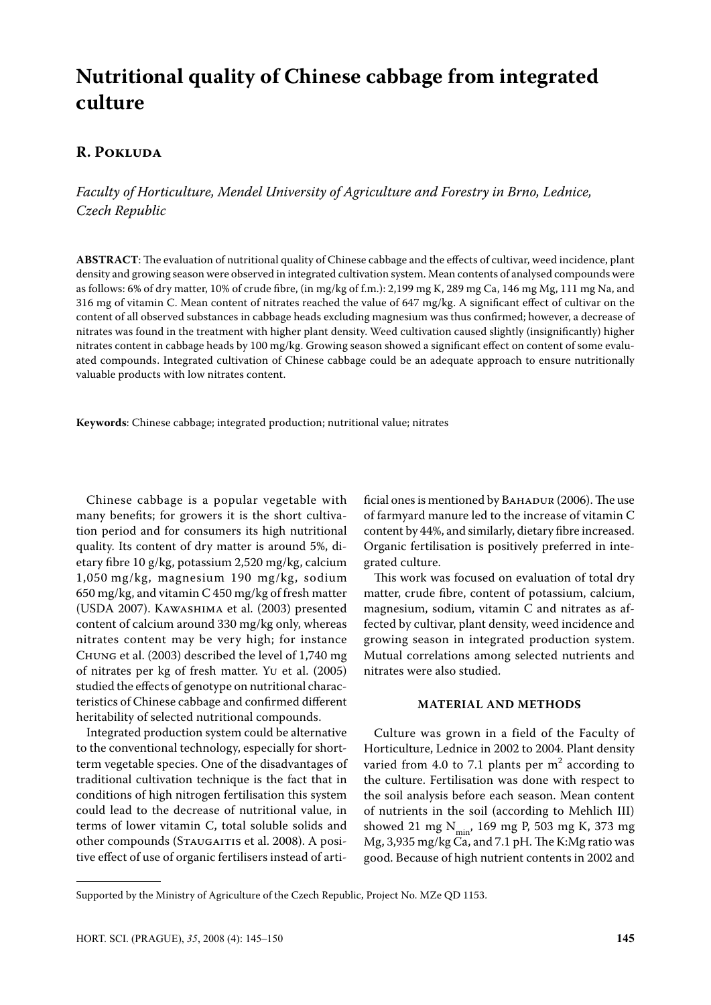# **Nutritional quality of Chinese cabbage from integrated culture**

## **R. Pokluda**

*Faculty of Horticulture, Mendel University of Agriculture and Forestry in Brno, Lednice, Czech Republic*

**ABSTRACT**: The evaluation of nutritional quality of Chinese cabbage and the effects of cultivar, weed incidence, plant density and growing season were observed in integrated cultivation system. Mean contents of analysed compounds were as follows: 6% of dry matter, 10% of crude fibre, (in mg/kg of f.m.): 2,199 mg K, 289 mg Ca, 146 mg Mg, 111 mg Na, and 316 mg of vitamin C. Mean content of nitrates reached the value of 647 mg/kg. A significant effect of cultivar on the content of all observed substances in cabbage heads excluding magnesium was thus confirmed; however, a decrease of nitrates was found in the treatment with higher plant density. Weed cultivation caused slightly (insignificantly) higher nitrates content in cabbage heads by 100 mg/kg. Growing season showed a significant effect on content of some evaluated compounds. Integrated cultivation of Chinese cabbage could be an adequate approach to ensure nutritionally valuable products with low nitrates content.

**Keywords**: Chinese cabbage; integrated production; nutritional value; nitrates

Chinese cabbage is a popular vegetable with many benefits; for growers it is the short cultivation period and for consumers its high nutritional quality. Its content of dry matter is around 5%, dietary fibre 10 g/kg, potassium 2,520 mg/kg, calcium 1,050 mg/kg, magnesium 190 mg/kg, sodium 650 mg/kg, and vitamin C 450 mg/kg of fresh matter (USDA 2007). Kawashima et al. (2003) presented content of calcium around 330 mg/kg only, whereas nitrates content may be very high; for instance Chung et al. (2003) described the level of 1,740 mg of nitrates per kg of fresh matter. Yu et al. (2005) studied the effects of genotype on nutritional characteristics of Chinese cabbage and confirmed different heritability of selected nutritional compounds.

Integrated production system could be alternative to the conventional technology, especially for shortterm vegetable species. One of the disadvantages of traditional cultivation technique is the fact that in conditions of high nitrogen fertilisation this system could lead to the decrease of nutritional value, in terms of lower vitamin C, total soluble solids and other compounds (STAUGAITIS et al. 2008). A positive effect of use of organic fertilisers instead of arti-

ficial ones is mentioned by ВАНАDUR (2006). The use of farmyard manure led to the increase of vitamin C content by 44%, and similarly, dietary fibre increased. Organic fertilisation is positively preferred in integrated culture.

This work was focused on evaluation of total dry matter, crude fibre, content of potassium, calcium, magnesium, sodium, vitamin C and nitrates as affected by cultivar, plant density, weed incidence and growing season in integrated production system. Mutual correlations among selected nutrients and nitrates were also studied.

#### **MATERIAL AND METHODS**

Culture was grown in a field of the Faculty of Horticulture, Lednice in 2002 to 2004. Plant density varied from 4.0 to 7.1 plants per  $m<sup>2</sup>$  according to the culture. Fertilisation was done with respect to the soil analysis before each season. Mean content of nutrients in the soil (according to Mehlich III) showed 21 mg  $N_{\text{min}}$ , 169 mg P, 503 mg K, 373 mg Mg, 3,935 mg/kg Ca, and 7.1 pH. The K:Mg ratio was good. Because of high nutrient contents in 2002 and

Supported by the Ministry of Agriculture of the Czech Republic, Project No. MZe QD 1153.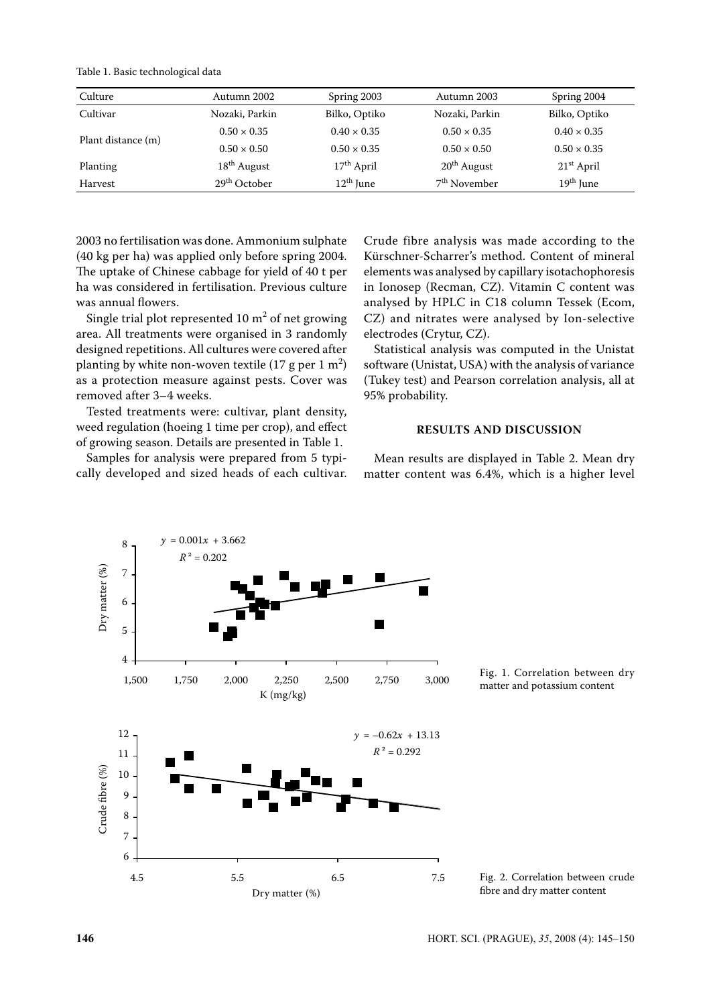Table 1. Basic technological data

| Culture            | Autumn 2002              | Spring 2003        | Autumn 2003              | Spring 2004           |  |
|--------------------|--------------------------|--------------------|--------------------------|-----------------------|--|
| Cultivar           | Nozaki, Parkin           | Bilko, Optiko      | Nozaki, Parkin           | Bilko, Optiko         |  |
| Plant distance (m) | $0.50 \times 0.35$       | $0.40 \times 0.35$ | $0.50 \times 0.35$       | $0.40 \times 0.35$    |  |
|                    | $0.50 \times 0.50$       | $0.50 \times 0.35$ | $0.50 \times 0.50$       | $0.50 \times 0.35$    |  |
| Planting           | $18th$ August            | $17th$ April       | $20th$ August            | $21st$ April          |  |
| Harvest            | 29 <sup>th</sup> October | $12th$ June        | 7 <sup>th</sup> November | 19 <sup>th</sup> June |  |

2003 no fertilisation was done. Ammonium sulphate (40 kg per ha) was applied only before spring 2004. The uptake of Chinese cabbage for yield of 40 t per ha was considered in fertilisation. Previous culture was annual flowers.

Single trial plot represented 10  $m^2$  of net growing area. All treatments were organised in 3 randomly designed repetitions. All cultures were covered after planting by white non-woven textile  $(17 \text{ g per } 1 \text{ m}^2)$ as a protection measure against pests. Cover was removed after 3–4 weeks.

Tested treatments were: cultivar, plant density, weed regulation (hoeing 1 time per crop), and effect of growing season. Details are presented in Table 1.

Samples for analysis were prepared from 5 typically developed and sized heads of each cultivar. Crude fibre analysis was made according to the Kürschner-Scharrer's method. Content of mineral elements was analysed by capillary isotachophoresis in Ionosep (Recman, CZ). Vitamin C content was analysed by HPLC in C18 column Tessek (Ecom, CZ) and nitrates were analysed by Ion-selective electrodes (Crytur, CZ).

Statistical analysis was computed in the Unistat software (Unistat, USA) with the analysis of variance (Tukey test) and Pearson correlation analysis, all at 95% probability.

#### **RESULTS AND DISCUSSION**

Mean results are displayed in Table 2. Mean dry matter content was 6.4%, which is a higher level

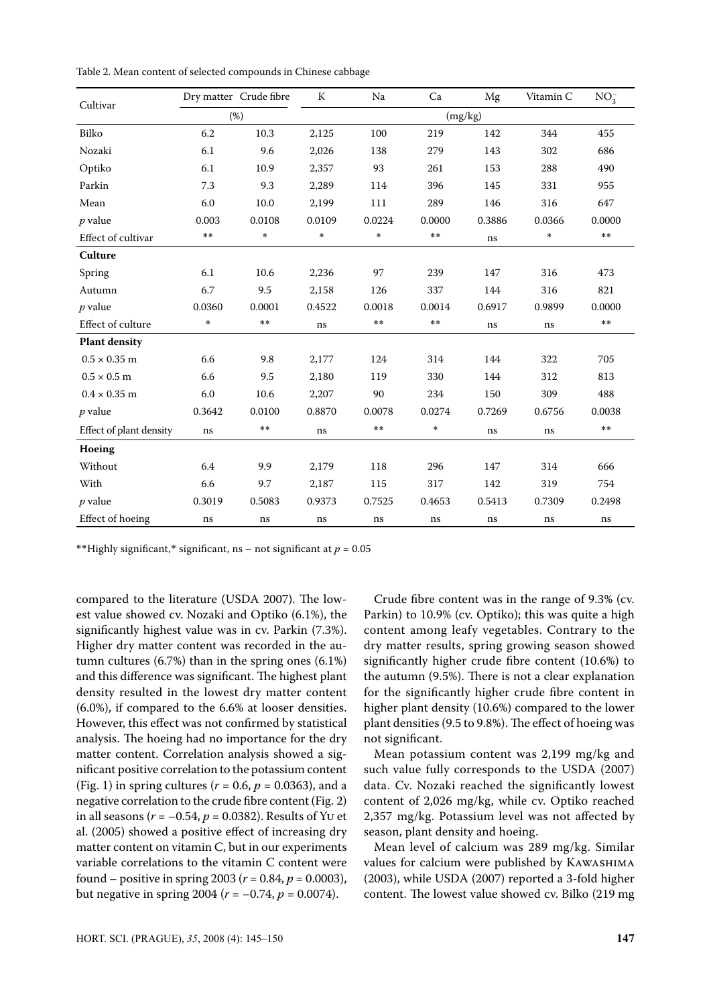| Cultivar                |            | Dry matter Crude fibre | ${\bf K}$ | Na     | Ca           | Mg       | Vitamin C | $NO_3^-$     |
|-------------------------|------------|------------------------|-----------|--------|--------------|----------|-----------|--------------|
|                         | (%)        |                        | (mg/kg)   |        |              |          |           |              |
| Bilko                   | 6.2        | 10.3                   | 2,125     | 100    | 219          | 142      | 344       | 455          |
| Nozaki                  | 6.1        | 9.6                    | 2,026     | 138    | 279          | 143      | 302       | 686          |
| Optiko                  | 6.1        | 10.9                   | 2,357     | 93     | 261          | 153      | 288       | 490          |
| Parkin                  | 7.3        | 9.3                    | 2,289     | 114    | 396          | 145      | 331       | 955          |
| Mean                    | 6.0        | 10.0                   | 2,199     | 111    | 289          | 146      | 316       | 647          |
| $p$ value               | 0.003      | 0.0108                 | 0.0109    | 0.0224 | 0.0000       | 0.3886   | 0.0366    | 0.0000       |
| Effect of cultivar      | $\ast\ast$ | $\ast$                 | $\ast$    | $\ast$ | $***$        | $\rm ns$ | $\ast$    | $\star\star$ |
| Culture                 |            |                        |           |        |              |          |           |              |
| Spring                  | 6.1        | 10.6                   | 2,236     | 97     | 239          | 147      | 316       | 473          |
| Autumn                  | 6.7        | 9.5                    | 2,158     | 126    | 337          | 144      | 316       | 821          |
| $p$ value               | 0.0360     | 0.0001                 | 0.4522    | 0.0018 | 0.0014       | 0.6917   | 0.9899    | 0.0000       |
| Effect of culture       | *          | **                     | ns        | $* *$  | $\star\star$ | ns       | $\rm ns$  | $\star\star$ |
| <b>Plant density</b>    |            |                        |           |        |              |          |           |              |
| $0.5 \times 0.35$ m     | 6.6        | 9.8                    | 2,177     | 124    | 314          | 144      | 322       | 705          |
| $0.5 \times 0.5$ m      | 6.6        | 9.5                    | 2,180     | 119    | 330          | 144      | 312       | 813          |
| $0.4 \times 0.35$ m     | 6.0        | 10.6                   | 2,207     | 90     | 234          | 150      | 309       | 488          |
| $p$ value               | 0.3642     | 0.0100                 | 0.8870    | 0.0078 | 0.0274       | 0.7269   | 0.6756    | 0.0038       |
| Effect of plant density | ns         | **                     | ns        | $* *$  | $\ast$       | ns       | ns        | $\star\star$ |
| Hoeing                  |            |                        |           |        |              |          |           |              |
| Without                 | 6.4        | 9.9                    | 2,179     | 118    | 296          | 147      | 314       | 666          |
| With                    | 6.6        | 9.7                    | 2,187     | 115    | 317          | 142      | 319       | 754          |
| $p$ value               | 0.3019     | 0.5083                 | 0.9373    | 0.7525 | 0.4653       | 0.5413   | 0.7309    | 0.2498       |
| Effect of hoeing        | ns         | $\rm ns$               | ns        | ns     | ns           | ns       | ns        | ns           |

Table 2. Mean content of selected compounds in Chinese cabbage

\*\*Highly significant,\* significant, ns – not significant at  $p = 0.05$ 

compared to the literature (USDA 2007). The lowest value showed cv. Nozaki and Optiko (6.1%), the significantly highest value was in cv. Parkin (7.3%). Higher dry matter content was recorded in the autumn cultures (6.7%) than in the spring ones (6.1%) and this difference was significant. The highest plant density resulted in the lowest dry matter content (6.0%), if compared to the 6.6% at looser densities. However, this effect was not confirmed by statistical analysis. The hoeing had no importance for the dry matter content. Correlation analysis showed a significant positive correlation to the potassium content (Fig. 1) in spring cultures ( $r = 0.6$ ,  $p = 0.0363$ ), and a negative correlation to the crude fibre content (Fig. 2) in all seasons (*r* = –0.54, *p* = 0.0382). Results of Yu et al. (2005) showed a positive effect of increasing dry matter content on vitamin C, but in our experiments variable correlations to the vitamin C content were found – positive in spring 2003 (*r* = 0.84, *p* = 0.0003), but negative in spring 2004 ( $r = -0.74$ ,  $p = 0.0074$ ).

Crude fibre content was in the range of 9.3% (cv. Parkin) to 10.9% (cv. Optiko); this was quite a high content among leafy vegetables. Contrary to the dry matter results, spring growing season showed significantly higher crude fibre content (10.6%) to the autumn (9.5%). There is not a clear explanation for the significantly higher crude fibre content in higher plant density (10.6%) compared to the lower plant densities (9.5 to 9.8%). The effect of hoeing was not significant.

Mean potassium content was 2,199 mg/kg and such value fully corresponds to the USDA (2007) data. Cv. Nozaki reached the significantly lowest content of 2,026 mg/kg, while cv. Optiko reached 2,357 mg/kg. Potassium level was not affected by season, plant density and hoeing.

Mean level of calcium was 289 mg/kg. Similar values for calcium were published by Kawashima (2003), while USDA (2007) reported a 3-fold higher content. The lowest value showed cv. Bilko (219 mg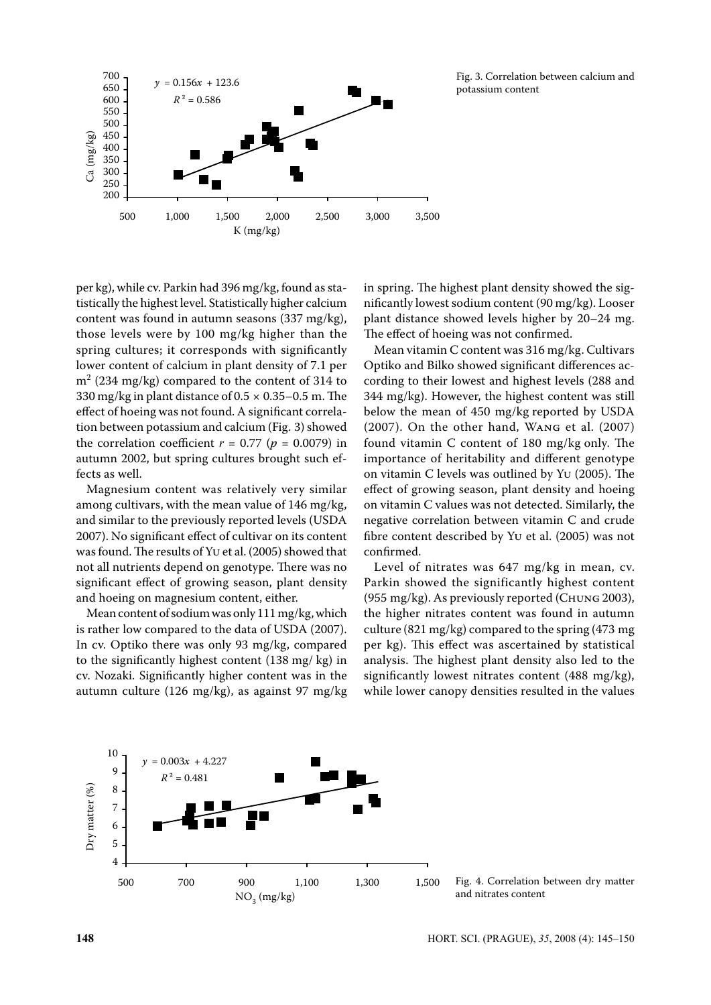

Fig. 3. Correlation between calcium and potassium content

per kg), while cv. Parkin had 396 mg/kg, found as statistically the highest level. Statistically higher calcium content was found in autumn seasons (337 mg/kg), those levels were by 100 mg/kg higher than the spring cultures; it corresponds with significantly lower content of calcium in plant density of 7.1 per  $m<sup>2</sup>$  (234 mg/kg) compared to the content of 314 to 330 mg/kg in plant distance of  $0.5 \times 0.35 - 0.5$  m. The effect of hoeing was not found. A significant correlation between potassium and calcium (Fig. 3) showed the correlation coefficient  $r = 0.77$  ( $p = 0.0079$ ) in autumn 2002, but spring cultures brought such effects as well.

Magnesium content was relatively very similar among cultivars, with the mean value of 146 mg/kg, and similar to the previously reported levels (USDA 2007). No significant effect of cultivar on its content was found. The results of Yu et al. (2005) showed that not all nutrients depend on genotype. There was no significant effect of growing season, plant density and hoeing on magnesium content, either.

Mean content of sodium was only 111 mg/kg, which is rather low compared to the data of USDA (2007). In cv. Optiko there was only 93 mg/kg, compared to the significantly highest content (138 mg/ kg) in cv. Nozaki. Significantly higher content was in the autumn culture (126 mg/kg), as against 97 mg/kg

in spring. The highest plant density showed the significantly lowest sodium content (90 mg/kg). Looser plant distance showed levels higher by 20–24 mg. The effect of hoeing was not confirmed.

Mean vitamin C content was 316 mg/kg. Cultivars Optiko and Bilko showed significant differences according to their lowest and highest levels (288 and 344 mg/kg). However, the highest content was still below the mean of 450 mg/kg reported by USDA (2007). On the other hand, Wang et al. (2007) found vitamin C content of 180 mg/kg only. The importance of heritability and different genotype on vitamin C levels was outlined by Yu (2005). The effect of growing season, plant density and hoeing on vitamin C values was not detected. Similarly, the negative correlation between vitamin C and crude fibre content described by Yu et al. (2005) was not confirmed.

Level of nitrates was 647 mg/kg in mean, cv. Parkin showed the significantly highest content (955 mg/kg). As previously reported (Chung 2003), the higher nitrates content was found in autumn culture (821 mg/kg) compared to the spring (473 mg per kg). This effect was ascertained by statistical analysis. The highest plant density also led to the significantly lowest nitrates content (488 mg/kg), while lower canopy densities resulted in the values



Fig. 4. Correlation between dry matter and nitrates content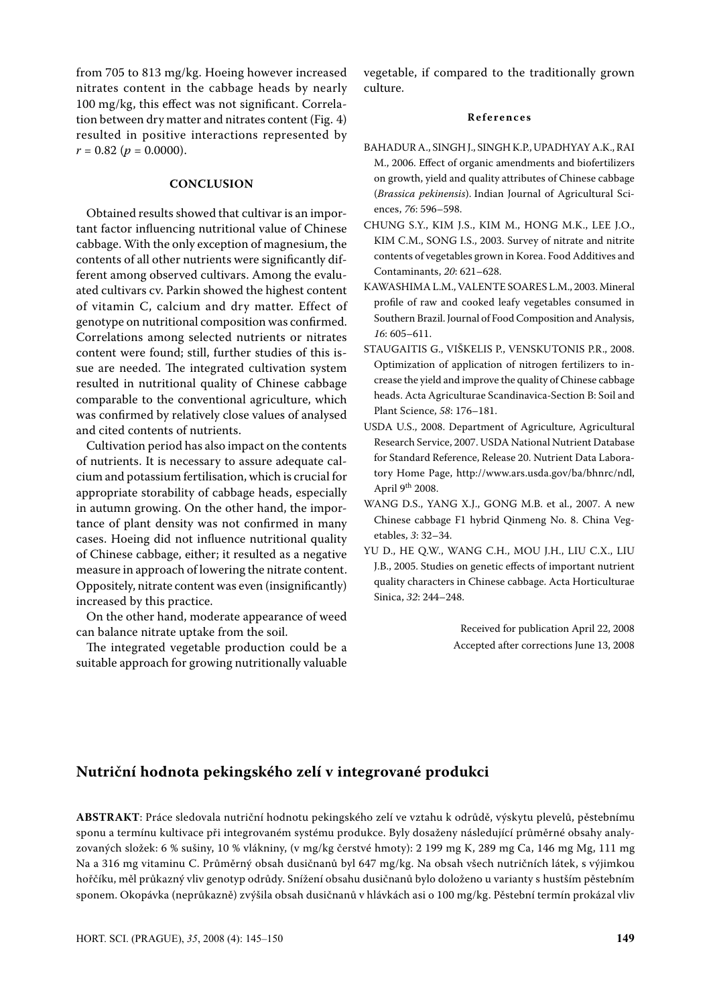from 705 to 813 mg/kg. Hoeing however increased nitrates content in the cabbage heads by nearly 100 mg/kg, this effect was not significant. Correlation between dry matter and nitrates content (Fig. 4) resulted in positive interactions represented by  $r = 0.82$  ( $p = 0.0000$ ).

### **CONCLUSION**

Obtained results showed that cultivar is an important factor influencing nutritional value of Chinese cabbage. With the only exception of magnesium, the contents of all other nutrients were significantly different among observed cultivars. Among the evaluated cultivars cv. Parkin showed the highest content of vitamin C, calcium and dry matter. Effect of genotype on nutritional composition was confirmed. Correlations among selected nutrients or nitrates content were found; still, further studies of this issue are needed. The integrated cultivation system resulted in nutritional quality of Chinese cabbage comparable to the conventional agriculture, which was confirmed by relatively close values of analysed and cited contents of nutrients.

Cultivation period has also impact on the contents of nutrients. It is necessary to assure adequate calcium and potassium fertilisation, which is crucial for appropriate storability of cabbage heads, especially in autumn growing. On the other hand, the importance of plant density was not confirmed in many cases. Hoeing did not influence nutritional quality of Chinese cabbage, either; it resulted as a negative measure in approach of lowering the nitrate content. Oppositely, nitrate content was even (insignificantly) increased by this practice.

On the other hand, moderate appearance of weed can balance nitrate uptake from the soil.

The integrated vegetable production could be a suitable approach for growing nutritionally valuable vegetable, if compared to the traditionally grown culture.

#### **R e f e r e n c e s**

- BAHADUR A., SINGH J., SINGH K.P., UPADHYAY A.K., RAI M., 2006. Effect of organic amendments and biofertilizers on growth, yield and quality attributes of Chinese cabbage (*Brassica pekinensis*). Indian Journal of Agricultural Sciences, *76*: 596–598.
- CHUNG S.Y., KIM J.S., KIM M., HONG M.K., LEE J.O., KIM C.M., SONG I.S., 2003. Survey of nitrate and nitrite contents of vegetables grown in Korea. Food Additives and Contaminants, *20*: 621–628.
- KAWASHIMA L.M., VALENTE SOARES L.M., 2003. Mineral profile of raw and cooked leafy vegetables consumed in Southern Brazil. Journal of Food Composition and Analysis, *16*: 605–611.
- STAUGAITIS G., VIŠKELIS P., VENSKUTONIS P.R., 2008. Optimization of application of nitrogen fertilizers to increase the yield and improve the quality of Chinese cabbage heads. Acta Agriculturae Scandinavica-Section B: Soil and Plant Science, *58*: 176–181.
- USDA U.S., 2008. Department of Agriculture, Agricultural Research Service, 2007. USDA National Nutrient Database for Standard Reference, Release 20. Nutrient Data Laboratory Home Page, http://www.ars.usda.gov/ba/bhnrc/ndl, April 9th 2008.
- WANG D.S., YANG X.J., GONG M.B. et al., 2007. A new Chinese cabbage F1 hybrid Qinmeng No. 8. China Vegetables, *3*: 32–34.
- YU D., HE Q.W., WANG C.H., MOU J.H., LIU C.X., LIU J.B., 2005. Studies on genetic effects of important nutrient quality characters in Chinese cabbage. Acta Horticulturae Sinica, *32*: 244–248.

Received for publication April 22, 2008 Accepted after corrections June 13, 2008

## **Nutriční hodnota pekingského zelí v integrované produkci**

**ABSTRAKT**: Práce sledovala nutriční hodnotu pekingského zelí ve vztahu k odrůdě, výskytu plevelů, pěstebnímu sponu a termínu kultivace při integrovaném systému produkce. Byly dosaženy následující průměrné obsahy analyzovaných složek: 6 % sušiny, 10 % vlákniny, (v mg/kg čerstvé hmoty): 2 199 mg K, 289 mg Ca, 146 mg Mg, 111 mg Na a 316 mg vitaminu C. Průměrný obsah dusičnanů byl 647 mg/kg. Na obsah všech nutričních látek, s výjimkou hořčíku, měl průkazný vliv genotyp odrůdy. Snížení obsahu dusičnanů bylo doloženo u varianty s hustším pěstebním sponem. Okopávka (neprůkazně) zvýšila obsah dusičnanů v hlávkách asi o 100 mg/kg. Pěstební termín prokázal vliv